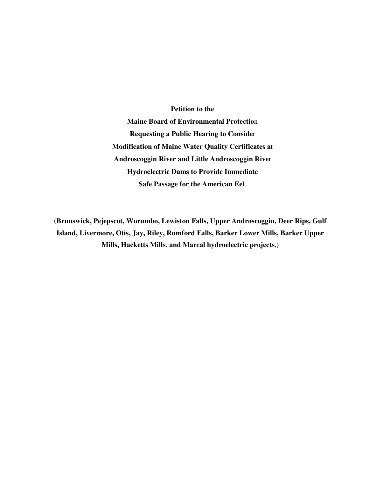**Petition to the Maine Board of Environmental Protectio**n **Requesting a Public Hearing to Conside**r **Modification of Maine Water Quality Certificates a**t **Androscoggin River and Little Androscoggin Rive**r **Hydroelectric Dams to Provide Immediate Safe Passage for the American Eel**.

**(Brunswick, Pejepscot, Worumbo, Lewiston Falls, Upper Androscoggin, Deer Rips, Gulf Island, Livermore, Otis, Jay, Riley, Rumford Falls, Barker Lower Mills, Barker Upper Mills, Hacketts Mills, and Marcal hydroelectric projects.)**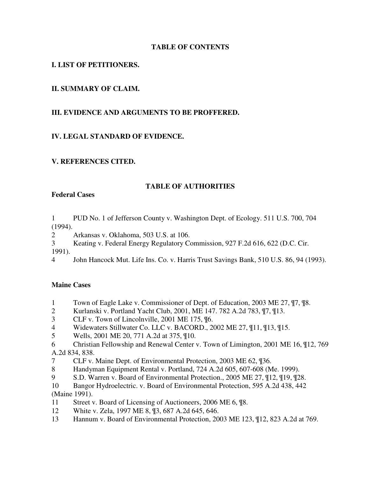## **TABLE OF CONTENTS**

## **I. LIST OF PETITIONERS.**

## **II. SUMMARY OF CLAIM.**

## **III. EVIDENCE AND ARGUMENTS TO BE PROFFERED.**

## **IV. LEGAL STANDARD OF EVIDENCE.**

## **V. REFERENCES CITED.**

### **TABLE OF AUTHORITIES**

### **Federal Cases**

1 PUD No. 1 of Jefferson County v. Washington Dept. of Ecology. 511 U.S. 700, 704 (1994).

2 Arkansas v. Oklahoma, 503 U.S. at 106.

3 Keating v. Federal Energy Regulatory Commission, 927 F.2d 616, 622 (D.C. Cir.

1991).

4 John Hancock Mut. Life Ins. Co. v. Harris Trust Savings Bank, 510 U.S. 86, 94 (1993).

## **Maine Cases**

- 1 Town of Eagle Lake v. Commissioner of Dept. of Education, 2003 ME 27, ¶7, ¶8.
- 2 Kurlanski v. Portland Yacht Club, 2001, ME 147. 782 A.2d 783, ¶7, ¶13.
- 3 CLF v. Town of Lincolnville, 2001 ME 175, ¶6.
- 4 Widewaters Stillwater Co. LLC v. BACORD., 2002 ME 27, ¶11, ¶13, ¶15.
- 5 Wells, 2001 ME 20, 771 A.2d at 375, ¶10.
- 6 Christian Fellowship and Renewal Center v. Town of Limington, 2001 ME 16, ¶12, 769 A.2d 834, 838.
- 7 CLF v. Maine Dept. of Environmental Protection, 2003 ME 62, ¶36.
- 8 Handyman Equipment Rental v. Portland, 724 A.2d 605, 607-608 (Me. 1999).
- 9 S.D. Warren v. Board of Environmental Protection., 2005 ME 27, ¶12, ¶19, ¶28.
- 10 Bangor Hydroelectric. v. Board of Environmental Protection, 595 A.2d 438, 442 (Maine 1991).
- 11 Street v. Board of Licensing of Auctioneers, 2006 ME 6, ¶8.
- 12 White v. Zela, 1997 ME 8, ¶3, 687 A.2d 645, 646.
- 13 Hannum v. Board of Environmental Protection, 2003 ME 123, ¶12, 823 A.2d at 769.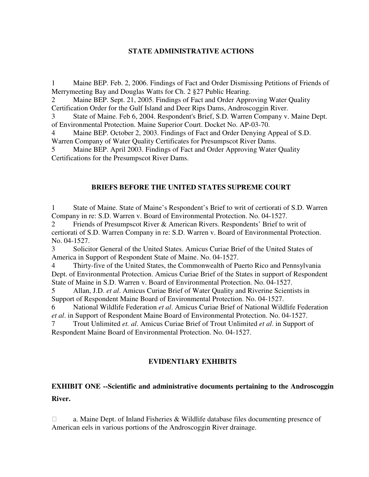## **STATE ADMINISTRATIVE ACTIONS**

1 Maine BEP. Feb. 2, 2006. Findings of Fact and Order Dismissing Petitions of Friends of Merrymeeting Bay and Douglas Watts for Ch. 2 §27 Public Hearing.

Maine BEP. Sept. 21, 2005. Findings of Fact and Order Approving Water Quality Certification Order for the Gulf Island and Deer Rips Dams, Androscoggin River.

3 State of Maine. Feb 6, 2004. Respondent's Brief, S.D. Warren Company v. Maine Dept. of Environmental Protection. Maine Superior Court. Docket No. AP-03-70.

Maine BEP. October 2, 2003. Findings of Fact and Order Denying Appeal of S.D. Warren Company of Water Quality Certificates for Presumpscot River Dams.

Maine BEP. April 2003. Findings of Fact and Order Approving Water Ouality Certifications for the Presumpscot River Dams.

### **BRIEFS BEFORE THE UNITED STATES SUPREME COURT**

1 State of Maine. State of Maine's Respondent's Brief to writ of certiorati of S.D. Warren Company in re: S.D. Warren v. Board of Environmental Protection. No. 04-1527.

2 Friends of Presumpscot River & American Rivers. Respondents' Brief to writ of certiorati of S.D. Warren Company in re: S.D. Warren v. Board of Environmental Protection. No. 04-1527.

3 Solicitor General of the United States. Amicus Curiae Brief of the United States of America in Support of Respondent State of Maine. No. 04-1527.

Thirty-five of the United States, the Commonwealth of Puerto Rico and Pennsylvania Dept. of Environmental Protection. Amicus Curiae Brief of the States in support of Respondent State of Maine in S.D. Warren v. Board of Environmental Protection. No. 04-1527.

5 Allan, J.D. *et al*. Amicus Curiae Brief of Water Quality and Riverine Scientists in Support of Respondent Maine Board of Environmental Protection. No. 04-1527.

6 National Wildlife Federation *et al*. Amicus Curiae Brief of National Wildlife Federation *et al*. in Support of Respondent Maine Board of Environmental Protection. No. 04-1527. 7 Trout Unlimited *et. al*. Amicus Curiae Brief of Trout Unlimited *et al*. in Support of

Respondent Maine Board of Environmental Protection. No. 04-1527.

## **EVIDENTIARY EXHIBITS**

## **EXHIBIT ONE --Scientific and administrative documents pertaining to the Androscoggin River.**

 a. Maine Dept. of Inland Fisheries & Wildlife database files documenting presence of American eels in various portions of the Androscoggin River drainage.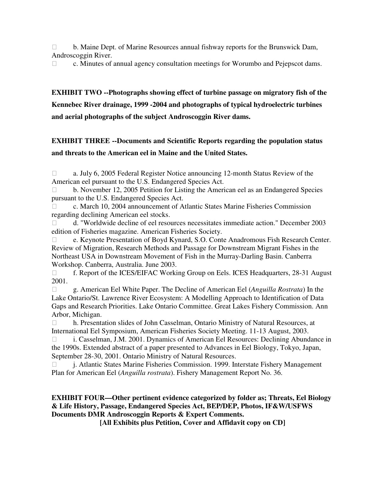b. Maine Dept. of Marine Resources annual fishway reports for the Brunswick Dam, Androscoggin River.

c. Minutes of annual agency consultation meetings for Worumbo and Pejepscot dams.

# **EXHIBIT TWO --Photographs showing effect of turbine passage on migratory fish of the Kennebec River drainage, 1999 -2004 and photographs of typical hydroelectric turbines and aerial photographs of the subject Androscoggin River dams.**

## **EXHIBIT THREE --Documents and Scientific Reports regarding the population status and threats to the American eel in Maine and the United States.**

 a. July 6, 2005 Federal Register Notice announcing 12-month Status Review of the American eel pursuant to the U.S. Endangered Species Act.

 b. November 12, 2005 Petition for Listing the American eel as an Endangered Species pursuant to the U.S. Endangered Species Act.

 c. March 10, 2004 announcement of Atlantic States Marine Fisheries Commission regarding declining American eel stocks.

 d. "Worldwide decline of eel resources necessitates immediate action." December 2003 edition of Fisheries magazine. American Fisheries Society.

 e. Keynote Presentation of Boyd Kynard, S.O. Conte Anadromous Fish Research Center. Review of Migration, Research Methods and Passage for Downstream Migrant Fishes in the Northeast USA in Downstream Movement of Fish in the Murray-Darling Basin. Canberra Workshop. Canberra, Australia. June 2003.

 f. Report of the ICES/EIFAC Working Group on Eels. ICES Headquarters, 28-31 August 2001.

 g. American Eel White Paper. The Decline of American Eel (*Anguilla Rostrata*) In the Lake Ontario/St. Lawrence River Ecosystem: A Modelling Approach to Identification of Data Gaps and Research Priorities. Lake Ontario Committee. Great Lakes Fishery Commission. Ann Arbor, Michigan.

 h. Presentation slides of John Casselman, Ontario Ministry of Natural Resources, at International Eel Symposium, American Fisheries Society Meeting. 11-13 August, 2003.

 i. Casselman, J.M. 2001. Dynamics of American Eel Resources: Declining Abundance in the 1990s. Extended abstract of a paper presented to Advances in Eel Biology, Tokyo, Japan, September 28-30, 2001. Ontario Ministry of Natural Resources.

 j. Atlantic States Marine Fisheries Commission. 1999. Interstate Fishery Management Plan for American Eel (*Anguilla rostrata*). Fishery Management Report No. 36.

## **EXHIBIT FOUR—Other pertinent evidence categorized by folder as; Threats, Eel Biology & Life History, Passage, Endangered Species Act, BEP/DEP, Photos, IF&W/USFWS Documents DMR Androscoggin Reports & Expert Comments.**

**[All Exhibits plus Petition, Cover and Affidavit copy on CD]**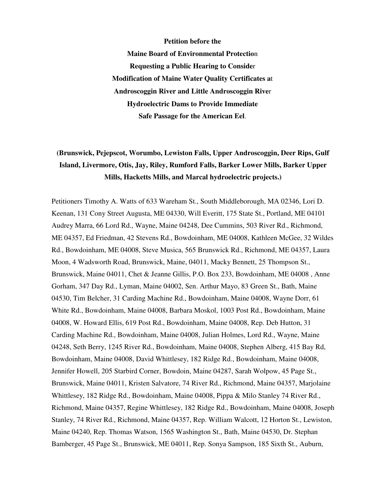**Petition before the Maine Board of Environmental Protectio**n **Requesting a Public Hearing to Conside**r **Modification of Maine Water Quality Certificates a**t **Androscoggin River and Little Androscoggin Rive**r **Hydroelectric Dams to Provide Immediate Safe Passage for the American Eel**.

# **(Brunswick, Pejepscot, Worumbo, Lewiston Falls, Upper Androscoggin, Deer Rips, Gulf Island, Livermore, Otis, Jay, Riley, Rumford Falls, Barker Lower Mills, Barker Upper Mills, Hacketts Mills, and Marcal hydroelectric projects.)**

Petitioners Timothy A. Watts of 633 Wareham St., South Middleborough, MA 02346, Lori D. Keenan, 131 Cony Street Augusta, ME 04330, Will Everitt, 175 State St., Portland, ME 04101 Audrey Marra, 66 Lord Rd., Wayne, Maine 04248, Dee Cummins, 503 River Rd., Richmond, ME 04357, Ed Friedman, 42 Stevens Rd., Bowdoinham, ME 04008, Kathleen McGee, 32 Wildes Rd., Bowdoinham, ME 04008, Steve Musica, 565 Brunswick Rd., Richmond, ME 04357, Laura Moon, 4 Wadsworth Road, Brunswick, Maine, 04011, Macky Bennett, 25 Thompson St., Brunswick, Maine 04011, Chet & Jeanne Gillis, P.O. Box 233, Bowdoinham, ME 04008 , Anne Gorham, 347 Day Rd., Lyman, Maine 04002, Sen. Arthur Mayo, 83 Green St., Bath, Maine 04530, Tim Belcher, 31 Carding Machine Rd., Bowdoinham, Maine 04008, Wayne Dorr, 61 White Rd., Bowdoinham, Maine 04008, Barbara Moskol, 1003 Post Rd., Bowdoinham, Maine 04008, W. Howard Ellis, 619 Post Rd., Bowdoinham, Maine 04008, Rep. Deb Hutton, 31 Carding Machine Rd., Bowdoinham, Maine 04008, Julian Holmes, Lord Rd., Wayne, Maine 04248, Seth Berry, 1245 River Rd., Bowdoinham, Maine 04008, Stephen Alberg, 415 Bay Rd, Bowdoinham, Maine 04008, David Whittlesey, 182 Ridge Rd., Bowdoinham, Maine 04008, Jennifer Howell, 205 Starbird Corner, Bowdoin, Maine 04287, Sarah Wolpow, 45 Page St., Brunswick, Maine 04011, Kristen Salvatore, 74 River Rd., Richmond, Maine 04357, Marjolaine Whittlesey, 182 Ridge Rd., Bowdoinham, Maine 04008, Pippa & Milo Stanley 74 River Rd., Richmond, Maine 04357, Regine Whittlesey, 182 Ridge Rd., Bowdoinham, Maine 04008, Joseph Stanley, 74 River Rd., Richmond, Maine 04357, Rep. William Walcott, 12 Horton St., Lewiston, Maine 04240, Rep. Thomas Watson, 1565 Washington St., Bath, Maine 04530, Dr. Stephan Bamberger, 45 Page St., Brunswick, ME 04011, Rep. Sonya Sampson, 185 Sixth St., Auburn,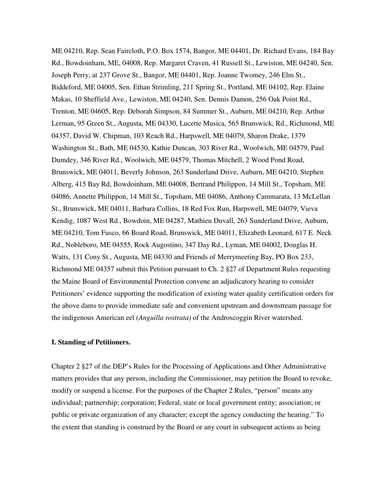ME 04210, Rep. Sean Faircloth, P.O. Box 1574, Bangor, ME 04401, Dr. Richard Evans, 184 Bay Rd., Bowdoinham, ME, 04008, Rep. Margaret Craven, 41 Russell St., Lewiston, ME 04240, Sen. Joseph Perry, at 237 Grove St., Bangor, ME 04401, Rep. Joanne Twomey, 246 Elm St., Biddeford, ME 04005, Sen. Ethan Strimling, 211 Spring St., Portland, ME 04102, Rep. Elaine Makas, 10 Sheffield Ave., Lewiston, ME 04240, Sen. Dennis Damon, 256 Oak Point Rd., Trenton, ME 04605, Rep. Deborah Simpson, 84 Summer St., Auburn, ME 04210, Rep. Arthur Lerman, 95 Green St., Augusta, ME 04330, Lucette Musica, 565 Brunswick, Rd., Richmond, ME 04357, David W. Chipman, 103 Reach Rd., Harpswell, ME 04079, Sharon Drake, 1379 Washington St., Bath, ME 04530, Kathie Duncan, 303 River Rd., Woolwich, ME 04579, Paul Dumdey, 346 River Rd., Woolwich, ME 04579, Thomas Mitchell, 2 Wood Pond Road, Brunswick, ME 04011, Beverly Johnson, 263 Sunderland Drive, Auburn, ME 04210, Stephen Alberg, 415 Bay Rd, Bowdoinham, ME 04008, Bertrand Philippon, 14 Mill St., Topsham, ME 04086, Annette Philippon, 14 Mill St., Topsham, ME 04086, Anthony Cammarata, 13 McLellan St., Brunswick, ME 04011, Barbara Collins, 18 Red Fox Run, Harpswell, ME 04079, Vieva Kendig, 1087 West Rd., Bowdoin, ME 04287, Mathieu Duvall, 263 Sunderland Drive, Auburn, ME 04210, Tom Fusco, 66 Board Road, Brunswick, ME 04011, Elizabeth Leonard, 617 E. Neck Rd., Nobleboro, ME 04555, Rock Augostino, 347 Day Rd., Lyman, ME 04002, Douglas H. Watts, 131 Cony St., Augusta, ME 04330 and Friends of Merrymeeting Bay, PO Box 233, Richmond ME 04357 submit this Petition pursuant to Ch. 2 §27 of Department Rules requesting the Maine Board of Environmental Protection convene an adjudicatory hearing to consider Petitioners' evidence supporting the modification of existing water quality certification orders for the above dams to provide immediate safe and convenient upstream and downstream passage for the indigenous American eel (*Anguilla rostrata)* of the Androscoggin River watershed.

#### **I. Standing of Petitioners.**

Chapter 2 §27 of the DEP's Rules for the Processing of Applications and Other Administrative matters provides that any person, including the Commissioner, may petition the Board to revoke, modify or suspend a license. For the purposes of the Chapter 2 Rules, "person" means any individual; partnership; corporation; Federal, state or local government entity; association; or public or private organization of any character; except the agency conducting the hearing." To the extent that standing is construed by the Board or any court in subsequent actions as being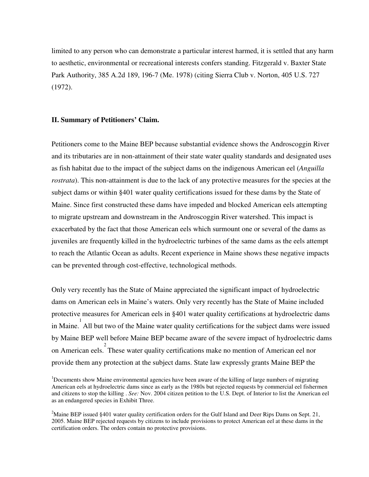limited to any person who can demonstrate a particular interest harmed, it is settled that any harm to aesthetic, environmental or recreational interests confers standing. Fitzgerald v. Baxter State Park Authority, 385 A.2d 189, 196-7 (Me. 1978) (citing Sierra Club v. Norton, 405 U.S. 727 (1972).

### **II. Summary of Petitioners' Claim.**

Petitioners come to the Maine BEP because substantial evidence shows the Androscoggin River and its tributaries are in non-attainment of their state water quality standards and designated uses as fish habitat due to the impact of the subject dams on the indigenous American eel (*Anguilla rostrata*). This non-attainment is due to the lack of any protective measures for the species at the subject dams or within §401 water quality certifications issued for these dams by the State of Maine. Since first constructed these dams have impeded and blocked American eels attempting to migrate upstream and downstream in the Androscoggin River watershed. This impact is exacerbated by the fact that those American eels which surmount one or several of the dams as juveniles are frequently killed in the hydroelectric turbines of the same dams as the eels attempt to reach the Atlantic Ocean as adults. Recent experience in Maine shows these negative impacts can be prevented through cost-effective, technological methods.

Only very recently has the State of Maine appreciated the significant impact of hydroelectric dams on American eels in Maine's waters. Only very recently has the State of Maine included protective measures for American eels in §401 water quality certifications at hydroelectric dams in Maine. All but two of the Maine water quality certifications for the subject dams were issued by Maine BEP well before Maine BEP became aware of the severe impact of hydroelectric dams on American eels. These water quality certifications make no mention of American eel nor provide them any protection at the subject dams. State law expressly grants Maine BEP the

<sup>&</sup>lt;sup>1</sup>Documents show Maine environmental agencies have been aware of the killing of large numbers of migrating American eels at hydroelectric dams since as early as the 1980s but rejected requests by commercial eel fishermen and citizens to stop the killing . *See:* Nov. 2004 citizen petition to the U.S. Dept. of Interior to list the American eel as an endangered species in Exhibit Three.

<sup>&</sup>lt;sup>2</sup>Maine BEP issued §401 water quality certification orders for the Gulf Island and Deer Rips Dams on Sept. 21, 2005. Maine BEP rejected requests by citizens to include provisions to protect American eel at these dams in the certification orders. The orders contain no protective provisions.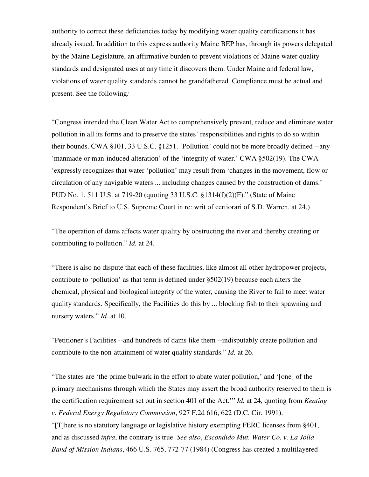authority to correct these deficiencies today by modifying water quality certifications it has already issued. In addition to this express authority Maine BEP has, through its powers delegated by the Maine Legislature, an affirmative burden to prevent violations of Maine water quality standards and designated uses at any time it discovers them. Under Maine and federal law, violations of water quality standards cannot be grandfathered. Compliance must be actual and present. See the following*:* 

"Congress intended the Clean Water Act to comprehensively prevent, reduce and eliminate water pollution in all its forms and to preserve the states' responsibilities and rights to do so within their bounds. CWA §101, 33 U.S.C. §1251. 'Pollution' could not be more broadly defined --any 'manmade or man-induced alteration' of the 'integrity of water.' CWA §502(19). The CWA 'expressly recognizes that water 'pollution' may result from 'changes in the movement, flow or circulation of any navigable waters ... including changes caused by the construction of dams.' PUD No. 1, 511 U.S. at 719-20 (quoting 33 U.S.C. §1314(f)(2)(F)." (State of Maine Respondent's Brief to U.S. Supreme Court in re: writ of certiorari of S.D. Warren. at 24.)

"The operation of dams affects water quality by obstructing the river and thereby creating or contributing to pollution." *Id.* at 24.

"There is also no dispute that each of these facilities, like almost all other hydropower projects, contribute to 'pollution' as that term is defined under  $\S502(19)$  because each alters the chemical, physical and biological integrity of the water, causing the River to fail to meet water quality standards. Specifically, the Facilities do this by ... blocking fish to their spawning and nursery waters." *Id.* at 10.

"Petitioner's Facilities --and hundreds of dams like them --indisputably create pollution and contribute to the non-attainment of water quality standards." *Id.* at 26.

"The states are 'the prime bulwark in the effort to abate water pollution,' and '[one] of the primary mechanisms through which the States may assert the broad authority reserved to them is the certification requirement set out in section 401 of the Act.'" *Id.* at 24, quoting from *Keating v. Federal Energy Regulatory Commission*, 927 F.2d 616, 622 (D.C. Cir. 1991).

"[T]here is no statutory language or legislative history exempting FERC licenses from §401, and as discussed *infra*, the contrary is true. *See also*, *Escondido Mut. Water Co. v. La Jolla Band of Mission Indians*, 466 U.S. 765, 772-77 (1984) (Congress has created a multilayered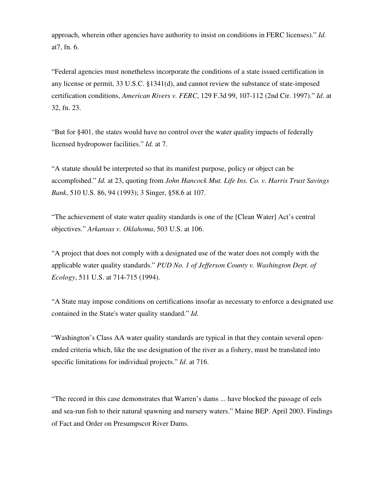approach, wherein other agencies have authority to insist on conditions in FERC licenses)." *Id.*  at7, fn. 6.

"Federal agencies must nonetheless incorporate the conditions of a state issued certification in any license or permit, 33 U.S.C. §1341(d), and cannot review the substance of state-imposed certification conditions, *American Rivers v. FERC*, 129 F.3d 99, 107-112 (2nd Cir. 1997)." *Id*. at 32, fn. 23.

"But for §401, the states would have no control over the water quality impacts of federally licensed hydropower facilities." *Id.* at 7.

"A statute should be interpreted so that its manifest purpose, policy or object can be accomplished." *Id.* at 23, quoting from *John Hancock Mut. Life Ins. Co. v. Harris Trust Savings Bank*, 510 U.S. 86, 94 (1993); 3 Singer, §58.6 at 107.

"The achievement of state water quality standards is one of the [Clean Water] Act's central objectives." *Arkansas v. Oklahoma*, 503 U.S. at 106.

"A project that does not comply with a designated use of the water does not comply with the applicable water quality standards." *PUD No. 1 of Jefferson County v. Washington Dept. of Ecology*, 511 U.S. at 714-715 (1994).

"A State may impose conditions on certifications insofar as necessary to enforce a designated use contained in the State's water quality standard." *Id.* 

"Washington's Class AA water quality standards are typical in that they contain several openended criteria which, like the use designation of the river as a fishery, must be translated into specific limitations for individual projects." *Id*. at 716.

"The record in this case demonstrates that Warren's dams ... have blocked the passage of eels and sea-run fish to their natural spawning and nursery waters." Maine BEP. April 2003. Findings of Fact and Order on Presumpscot River Dams.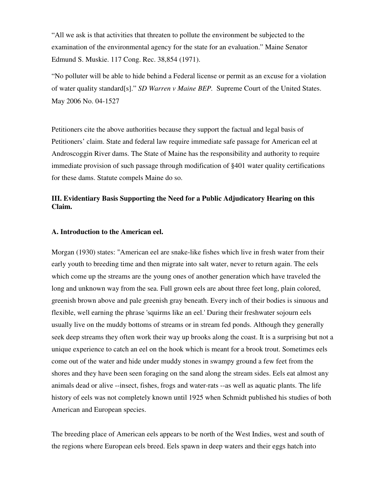"All we ask is that activities that threaten to pollute the environment be subjected to the examination of the environmental agency for the state for an evaluation." Maine Senator Edmund S. Muskie. 117 Cong. Rec. 38,854 (1971).

"No polluter will be able to hide behind a Federal license or permit as an excuse for a violation of water quality standard[s]." *SD Warren v Maine BEP.* Supreme Court of the United States. May 2006 No. 04-1527

Petitioners cite the above authorities because they support the factual and legal basis of Petitioners' claim. State and federal law require immediate safe passage for American eel at Androscoggin River dams. The State of Maine has the responsibility and authority to require immediate provision of such passage through modification of §401 water quality certifications for these dams. Statute compels Maine do so.

## **III. Evidentiary Basis Supporting the Need for a Public Adjudicatory Hearing on this Claim.**

## **A. Introduction to the American eel.**

Morgan (1930) states: "American eel are snake-like fishes which live in fresh water from their early youth to breeding time and then migrate into salt water, never to return again. The eels which come up the streams are the young ones of another generation which have traveled the long and unknown way from the sea. Full grown eels are about three feet long, plain colored, greenish brown above and pale greenish gray beneath. Every inch of their bodies is sinuous and flexible, well earning the phrase 'squirms like an eel.' During their freshwater sojourn eels usually live on the muddy bottoms of streams or in stream fed ponds. Although they generally seek deep streams they often work their way up brooks along the coast. It is a surprising but not a unique experience to catch an eel on the hook which is meant for a brook trout. Sometimes eels come out of the water and hide under muddy stones in swampy ground a few feet from the shores and they have been seen foraging on the sand along the stream sides. Eels eat almost any animals dead or alive --insect, fishes, frogs and water-rats --as well as aquatic plants. The life history of eels was not completely known until 1925 when Schmidt published his studies of both American and European species.

The breeding place of American eels appears to be north of the West Indies, west and south of the regions where European eels breed. Eels spawn in deep waters and their eggs hatch into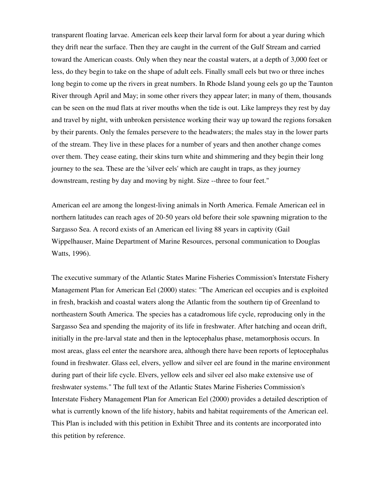transparent floating larvae. American eels keep their larval form for about a year during which they drift near the surface. Then they are caught in the current of the Gulf Stream and carried toward the American coasts. Only when they near the coastal waters, at a depth of 3,000 feet or less, do they begin to take on the shape of adult eels. Finally small eels but two or three inches long begin to come up the rivers in great numbers. In Rhode Island young eels go up the Taunton River through April and May; in some other rivers they appear later; in many of them, thousands can be seen on the mud flats at river mouths when the tide is out. Like lampreys they rest by day and travel by night, with unbroken persistence working their way up toward the regions forsaken by their parents. Only the females persevere to the headwaters; the males stay in the lower parts of the stream. They live in these places for a number of years and then another change comes over them. They cease eating, their skins turn white and shimmering and they begin their long journey to the sea. These are the 'silver eels' which are caught in traps, as they journey downstream, resting by day and moving by night. Size --three to four feet."

American eel are among the longest-living animals in North America. Female American eel in northern latitudes can reach ages of 20-50 years old before their sole spawning migration to the Sargasso Sea. A record exists of an American eel living 88 years in captivity (Gail Wippelhauser, Maine Department of Marine Resources, personal communication to Douglas Watts, 1996).

The executive summary of the Atlantic States Marine Fisheries Commission's Interstate Fishery Management Plan for American Eel (2000) states: "The American eel occupies and is exploited in fresh, brackish and coastal waters along the Atlantic from the southern tip of Greenland to northeastern South America. The species has a catadromous life cycle, reproducing only in the Sargasso Sea and spending the majority of its life in freshwater. After hatching and ocean drift, initially in the pre-larval state and then in the leptocephalus phase, metamorphosis occurs. In most areas, glass eel enter the nearshore area, although there have been reports of leptocephalus found in freshwater. Glass eel, elvers, yellow and silver eel are found in the marine environment during part of their life cycle. Elvers, yellow eels and silver eel also make extensive use of freshwater systems." The full text of the Atlantic States Marine Fisheries Commission's Interstate Fishery Management Plan for American Eel (2000) provides a detailed description of what is currently known of the life history, habits and habitat requirements of the American eel. This Plan is included with this petition in Exhibit Three and its contents are incorporated into this petition by reference.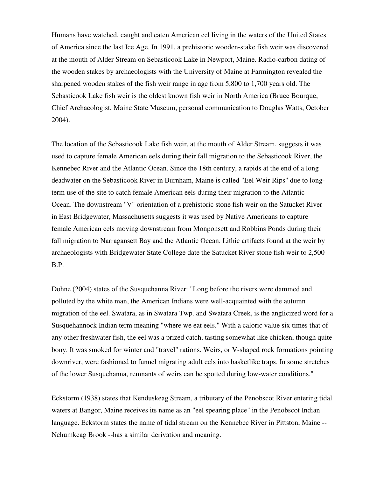Humans have watched, caught and eaten American eel living in the waters of the United States of America since the last Ice Age. In 1991, a prehistoric wooden-stake fish weir was discovered at the mouth of Alder Stream on Sebasticook Lake in Newport, Maine. Radio-carbon dating of the wooden stakes by archaeologists with the University of Maine at Farmington revealed the sharpened wooden stakes of the fish weir range in age from 5,800 to 1,700 years old. The Sebasticook Lake fish weir is the oldest known fish weir in North America (Bruce Bourque, Chief Archaeologist, Maine State Museum, personal communication to Douglas Watts, October 2004).

The location of the Sebasticook Lake fish weir, at the mouth of Alder Stream, suggests it was used to capture female American eels during their fall migration to the Sebasticook River, the Kennebec River and the Atlantic Ocean. Since the 18th century, a rapids at the end of a long deadwater on the Sebasticook River in Burnham, Maine is called "Eel Weir Rips" due to longterm use of the site to catch female American eels during their migration to the Atlantic Ocean. The downstream "V" orientation of a prehistoric stone fish weir on the Satucket River in East Bridgewater, Massachusetts suggests it was used by Native Americans to capture female American eels moving downstream from Monponsett and Robbins Ponds during their fall migration to Narragansett Bay and the Atlantic Ocean. Lithic artifacts found at the weir by archaeologists with Bridgewater State College date the Satucket River stone fish weir to 2,500 B.P.

Dohne (2004) states of the Susquehanna River: "Long before the rivers were dammed and polluted by the white man, the American Indians were well-acquainted with the autumn migration of the eel. Swatara, as in Swatara Twp. and Swatara Creek, is the anglicized word for a Susquehannock Indian term meaning "where we eat eels." With a caloric value six times that of any other freshwater fish, the eel was a prized catch, tasting somewhat like chicken, though quite bony. It was smoked for winter and "travel" rations. Weirs, or V-shaped rock formations pointing downriver, were fashioned to funnel migrating adult eels into basketlike traps. In some stretches of the lower Susquehanna, remnants of weirs can be spotted during low-water conditions."

Eckstorm (1938) states that Kenduskeag Stream, a tributary of the Penobscot River entering tidal waters at Bangor, Maine receives its name as an "eel spearing place" in the Penobscot Indian language. Eckstorm states the name of tidal stream on the Kennebec River in Pittston, Maine -- Nehumkeag Brook --has a similar derivation and meaning.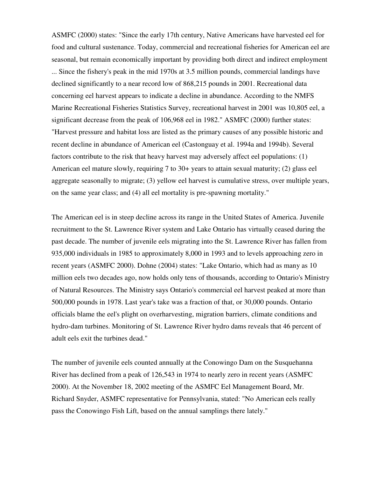ASMFC (2000) states: "Since the early 17th century, Native Americans have harvested eel for food and cultural sustenance. Today, commercial and recreational fisheries for American eel are seasonal, but remain economically important by providing both direct and indirect employment ... Since the fishery's peak in the mid 1970s at 3.5 million pounds, commercial landings have declined significantly to a near record low of 868,215 pounds in 2001. Recreational data concerning eel harvest appears to indicate a decline in abundance. According to the NMFS Marine Recreational Fisheries Statistics Survey, recreational harvest in 2001 was 10,805 eel, a significant decrease from the peak of 106,968 eel in 1982." ASMFC (2000) further states: "Harvest pressure and habitat loss are listed as the primary causes of any possible historic and recent decline in abundance of American eel (Castonguay et al. 1994a and 1994b). Several factors contribute to the risk that heavy harvest may adversely affect eel populations: (1) American eel mature slowly, requiring 7 to 30+ years to attain sexual maturity; (2) glass eel aggregate seasonally to migrate; (3) yellow eel harvest is cumulative stress, over multiple years, on the same year class; and (4) all eel mortality is pre-spawning mortality."

The American eel is in steep decline across its range in the United States of America. Juvenile recruitment to the St. Lawrence River system and Lake Ontario has virtually ceased during the past decade. The number of juvenile eels migrating into the St. Lawrence River has fallen from 935,000 individuals in 1985 to approximately 8,000 in 1993 and to levels approaching zero in recent years (ASMFC 2000). Dohne (2004) states: "Lake Ontario, which had as many as 10 million eels two decades ago, now holds only tens of thousands, according to Ontario's Ministry of Natural Resources. The Ministry says Ontario's commercial eel harvest peaked at more than 500,000 pounds in 1978. Last year's take was a fraction of that, or 30,000 pounds. Ontario officials blame the eel's plight on overharvesting, migration barriers, climate conditions and hydro-dam turbines. Monitoring of St. Lawrence River hydro dams reveals that 46 percent of adult eels exit the turbines dead."

The number of juvenile eels counted annually at the Conowingo Dam on the Susquehanna River has declined from a peak of 126,543 in 1974 to nearly zero in recent years (ASMFC 2000). At the November 18, 2002 meeting of the ASMFC Eel Management Board, Mr. Richard Snyder, ASMFC representative for Pennsylvania, stated: "No American eels really pass the Conowingo Fish Lift, based on the annual samplings there lately."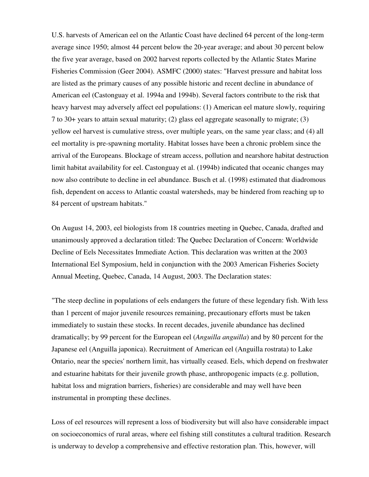U.S. harvests of American eel on the Atlantic Coast have declined 64 percent of the long-term average since 1950; almost 44 percent below the 20-year average; and about 30 percent below the five year average, based on 2002 harvest reports collected by the Atlantic States Marine Fisheries Commission (Geer 2004). ASMFC (2000) states: "Harvest pressure and habitat loss are listed as the primary causes of any possible historic and recent decline in abundance of American eel (Castonguay et al. 1994a and 1994b). Several factors contribute to the risk that heavy harvest may adversely affect eel populations: (1) American eel mature slowly, requiring 7 to 30+ years to attain sexual maturity; (2) glass eel aggregate seasonally to migrate; (3) yellow eel harvest is cumulative stress, over multiple years, on the same year class; and (4) all eel mortality is pre-spawning mortality. Habitat losses have been a chronic problem since the arrival of the Europeans. Blockage of stream access, pollution and nearshore habitat destruction limit habitat availability for eel. Castonguay et al. (1994b) indicated that oceanic changes may now also contribute to decline in eel abundance. Busch et al. (1998) estimated that diadromous fish, dependent on access to Atlantic coastal watersheds, may be hindered from reaching up to 84 percent of upstream habitats."

On August 14, 2003, eel biologists from 18 countries meeting in Quebec, Canada, drafted and unanimously approved a declaration titled: The Quebec Declaration of Concern: Worldwide Decline of Eels Necessitates Immediate Action. This declaration was written at the 2003 International Eel Symposium, held in conjunction with the 2003 American Fisheries Society Annual Meeting, Quebec, Canada, 14 August, 2003. The Declaration states:

"The steep decline in populations of eels endangers the future of these legendary fish. With less than 1 percent of major juvenile resources remaining, precautionary efforts must be taken immediately to sustain these stocks. In recent decades, juvenile abundance has declined dramatically; by 99 percent for the European eel (*Anguilla anguilla*) and by 80 percent for the Japanese eel (Anguilla japonica). Recruitment of American eel (Anguilla rostrata) to Lake Ontario, near the species' northern limit, has virtually ceased. Eels, which depend on freshwater and estuarine habitats for their juvenile growth phase, anthropogenic impacts (e.g. pollution, habitat loss and migration barriers, fisheries) are considerable and may well have been instrumental in prompting these declines.

Loss of eel resources will represent a loss of biodiversity but will also have considerable impact on socioeconomics of rural areas, where eel fishing still constitutes a cultural tradition. Research is underway to develop a comprehensive and effective restoration plan. This, however, will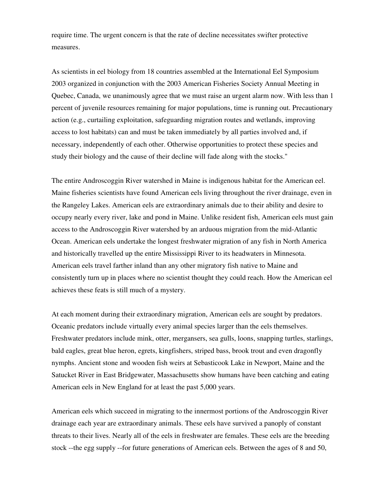require time. The urgent concern is that the rate of decline necessitates swifter protective measures.

As scientists in eel biology from 18 countries assembled at the International Eel Symposium 2003 organized in conjunction with the 2003 American Fisheries Society Annual Meeting in Quebec, Canada, we unanimously agree that we must raise an urgent alarm now. With less than 1 percent of juvenile resources remaining for major populations, time is running out. Precautionary action (e.g., curtailing exploitation, safeguarding migration routes and wetlands, improving access to lost habitats) can and must be taken immediately by all parties involved and, if necessary, independently of each other. Otherwise opportunities to protect these species and study their biology and the cause of their decline will fade along with the stocks."

The entire Androscoggin River watershed in Maine is indigenous habitat for the American eel. Maine fisheries scientists have found American eels living throughout the river drainage, even in the Rangeley Lakes. American eels are extraordinary animals due to their ability and desire to occupy nearly every river, lake and pond in Maine. Unlike resident fish, American eels must gain access to the Androscoggin River watershed by an arduous migration from the mid-Atlantic Ocean. American eels undertake the longest freshwater migration of any fish in North America and historically travelled up the entire Mississippi River to its headwaters in Minnesota. American eels travel farther inland than any other migratory fish native to Maine and consistently turn up in places where no scientist thought they could reach. How the American eel achieves these feats is still much of a mystery.

At each moment during their extraordinary migration, American eels are sought by predators. Oceanic predators include virtually every animal species larger than the eels themselves. Freshwater predators include mink, otter, mergansers, sea gulls, loons, snapping turtles, starlings, bald eagles, great blue heron, egrets, kingfishers, striped bass, brook trout and even dragonfly nymphs. Ancient stone and wooden fish weirs at Sebasticook Lake in Newport, Maine and the Satucket River in East Bridgewater, Massachusetts show humans have been catching and eating American eels in New England for at least the past 5,000 years.

American eels which succeed in migrating to the innermost portions of the Androscoggin River drainage each year are extraordinary animals. These eels have survived a panoply of constant threats to their lives. Nearly all of the eels in freshwater are females. These eels are the breeding stock --the egg supply --for future generations of American eels. Between the ages of 8 and 50,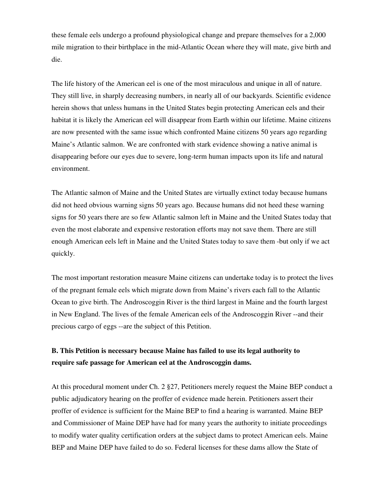these female eels undergo a profound physiological change and prepare themselves for a 2,000 mile migration to their birthplace in the mid-Atlantic Ocean where they will mate, give birth and die.

The life history of the American eel is one of the most miraculous and unique in all of nature. They still live, in sharply decreasing numbers, in nearly all of our backyards. Scientific evidence herein shows that unless humans in the United States begin protecting American eels and their habitat it is likely the American eel will disappear from Earth within our lifetime. Maine citizens are now presented with the same issue which confronted Maine citizens 50 years ago regarding Maine's Atlantic salmon. We are confronted with stark evidence showing a native animal is disappearing before our eyes due to severe, long-term human impacts upon its life and natural environment.

The Atlantic salmon of Maine and the United States are virtually extinct today because humans did not heed obvious warning signs 50 years ago. Because humans did not heed these warning signs for 50 years there are so few Atlantic salmon left in Maine and the United States today that even the most elaborate and expensive restoration efforts may not save them. There are still enough American eels left in Maine and the United States today to save them -but only if we act quickly.

The most important restoration measure Maine citizens can undertake today is to protect the lives of the pregnant female eels which migrate down from Maine's rivers each fall to the Atlantic Ocean to give birth. The Androscoggin River is the third largest in Maine and the fourth largest in New England. The lives of the female American eels of the Androscoggin River --and their precious cargo of eggs --are the subject of this Petition.

## **B. This Petition is necessary because Maine has failed to use its legal authority to require safe passage for American eel at the Androscoggin dams.**

At this procedural moment under Ch. 2 §27, Petitioners merely request the Maine BEP conduct a public adjudicatory hearing on the proffer of evidence made herein. Petitioners assert their proffer of evidence is sufficient for the Maine BEP to find a hearing is warranted. Maine BEP and Commissioner of Maine DEP have had for many years the authority to initiate proceedings to modify water quality certification orders at the subject dams to protect American eels. Maine BEP and Maine DEP have failed to do so. Federal licenses for these dams allow the State of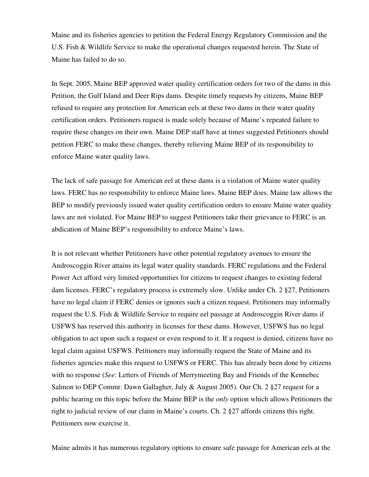Maine and its fisheries agencies to petition the Federal Energy Regulatory Commission and the U.S. Fish & Wildlife Service to make the operational changes requested herein. The State of Maine has failed to do so.

In Sept. 2005, Maine BEP approved water quality certification orders for two of the dams in this Petition, the Gulf Island and Deer Rips dams. Despite timely requests by citizens, Maine BEP refused to require any protection for American eels at these two dams in their water quality certification orders. Petitioners request is made solely because of Maine's repeated failure to require these changes on their own. Maine DEP staff have at times suggested Petitioners should petition FERC to make these changes, thereby relieving Maine BEP of its responsibility to enforce Maine water quality laws.

The lack of safe passage for American eel at these dams is a violation of Maine water quality laws. FERC has no responsibility to enforce Maine laws. Maine BEP does. Maine law allows the BEP to modify previously issued water quality certification orders to ensure Maine water quality laws are not violated. For Maine BEP to suggest Petitioners take their grievance to FERC is an abdication of Maine BEP's responsibility to enforce Maine's laws.

It is not relevant whether Petitioners have other potential regulatory avenues to ensure the Androscoggin River attains its legal water quality standards. FERC regulations and the Federal Power Act afford very limited opportunities for citizens to request changes to existing federal dam licenses. FERC's regulatory process is extremely slow. Unlike under Ch. 2 §27, Petitioners have no legal claim if FERC denies or ignores such a citizen request. Petitioners may informally request the U.S. Fish & Wildlife Service to require eel passage at Androscoggin River dams if USFWS has reserved this authority in licenses for these dams. However, USFWS has no legal obligation to act upon such a request or even respond to it. If a request is denied, citizens have no legal claim against USFWS. Petitioners may informally request the State of Maine and its fisheries agencies make this request to USFWS or FERC. This has already been done by citizens with no response (*See*: Letters of Friends of Merrymeeting Bay and Friends of the Kennebec Salmon to DEP Commr. Dawn Gallagher, July & August 2005). Our Ch. 2 §27 request for a public hearing on this topic before the Maine BEP is the *only* option which allows Petitioners the right to judicial review of our claim in Maine's courts. Ch. 2 §27 affords citizens this right. Petitioners now exercise it.

Maine admits it has numerous regulatory options to ensure safe passage for American eels at the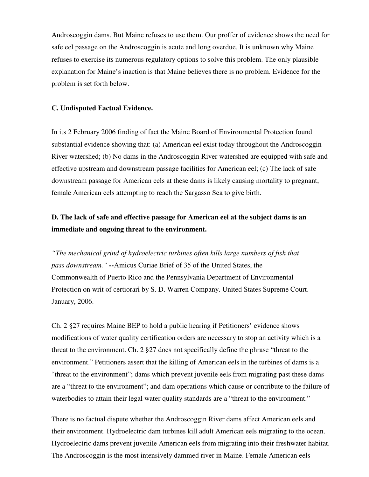Androscoggin dams. But Maine refuses to use them. Our proffer of evidence shows the need for safe eel passage on the Androscoggin is acute and long overdue. It is unknown why Maine refuses to exercise its numerous regulatory options to solve this problem. The only plausible explanation for Maine's inaction is that Maine believes there is no problem. Evidence for the problem is set forth below.

#### **C. Undisputed Factual Evidence.**

In its 2 February 2006 finding of fact the Maine Board of Environmental Protection found substantial evidence showing that: (a) American eel exist today throughout the Androscoggin River watershed; (b) No dams in the Androscoggin River watershed are equipped with safe and effective upstream and downstream passage facilities for American eel; (c) The lack of safe downstream passage for American eels at these dams is likely causing mortality to pregnant, female American eels attempting to reach the Sargasso Sea to give birth.

## **D. The lack of safe and effective passage for American eel at the subject dams is an immediate and ongoing threat to the environment.**

*"The mechanical grind of hydroelectric turbines often kills large numbers of fish that pass downstream." --*Amicus Curiae Brief of 35 of the United States, the Commonwealth of Puerto Rico and the Pennsylvania Department of Environmental Protection on writ of certiorari by S. D. Warren Company. United States Supreme Court. January, 2006.

Ch. 2 §27 requires Maine BEP to hold a public hearing if Petitioners' evidence shows modifications of water quality certification orders are necessary to stop an activity which is a threat to the environment. Ch. 2 §27 does not specifically define the phrase "threat to the environment." Petitioners assert that the killing of American eels in the turbines of dams is a "threat to the environment"; dams which prevent juvenile eels from migrating past these dams are a "threat to the environment"; and dam operations which cause or contribute to the failure of waterbodies to attain their legal water quality standards are a "threat to the environment."

There is no factual dispute whether the Androscoggin River dams affect American eels and their environment. Hydroelectric dam turbines kill adult American eels migrating to the ocean. Hydroelectric dams prevent juvenile American eels from migrating into their freshwater habitat. The Androscoggin is the most intensively dammed river in Maine. Female American eels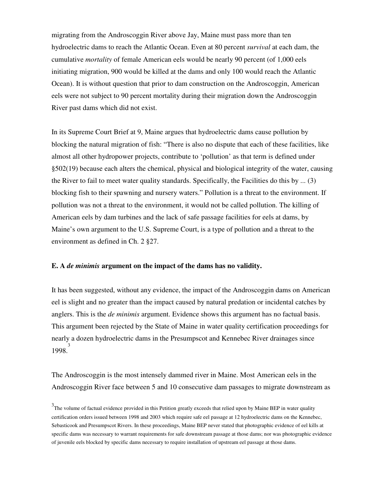migrating from the Androscoggin River above Jay, Maine must pass more than ten hydroelectric dams to reach the Atlantic Ocean. Even at 80 percent *survival* at each dam, the cumulative *mortality* of female American eels would be nearly 90 percent (of 1,000 eels initiating migration, 900 would be killed at the dams and only 100 would reach the Atlantic Ocean). It is without question that prior to dam construction on the Androscoggin, American eels were not subject to 90 percent mortality during their migration down the Androscoggin River past dams which did not exist.

In its Supreme Court Brief at 9, Maine argues that hydroelectric dams cause pollution by blocking the natural migration of fish: "There is also no dispute that each of these facilities, like almost all other hydropower projects, contribute to 'pollution' as that term is defined under §502(19) because each alters the chemical, physical and biological integrity of the water, causing the River to fail to meet water quality standards. Specifically, the Facilities do this by ... (3) blocking fish to their spawning and nursery waters." Pollution is a threat to the environment. If pollution was not a threat to the environment, it would not be called pollution. The killing of American eels by dam turbines and the lack of safe passage facilities for eels at dams, by Maine's own argument to the U.S. Supreme Court, is a type of pollution and a threat to the environment as defined in Ch. 2 §27.

#### **E. A** *de minimis* **argument on the impact of the dams has no validity.**

It has been suggested, without any evidence, the impact of the Androscoggin dams on American eel is slight and no greater than the impact caused by natural predation or incidental catches by anglers. This is the *de minimis* argument. Evidence shows this argument has no factual basis. This argument been rejected by the State of Maine in water quality certification proceedings for nearly a dozen hydroelectric dams in the Presumpscot and Kennebec River drainages since 1998. 3

The Androscoggin is the most intensely dammed river in Maine. Most American eels in the Androscoggin River face between 5 and 10 consecutive dam passages to migrate downstream as

 $3$ The volume of factual evidence provided in this Petition greatly exceeds that relied upon by Maine BEP in water quality certification orders issued between 1998 and 2003 which require safe eel passage at 12 hydroelectric dams on the Kennebec, Sebasticook and Presumpscot Rivers. In these proceedings, Maine BEP never stated that photographic evidence of eel kills at specific dams was necessary to warrant requirements for safe downstream passage at those dams; nor was photographic evidence of juvenile eels blocked by specific dams necessary to require installation of upstream eel passage at those dams.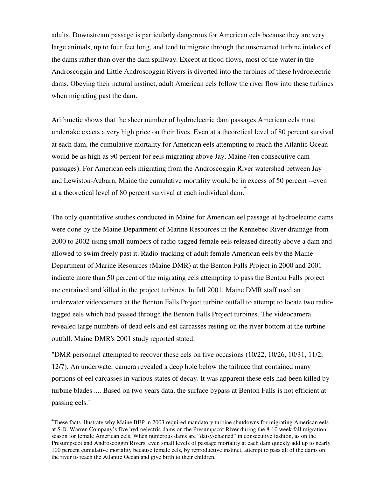adults. Downstream passage is particularly dangerous for American eels because they are very large animals, up to four feet long, and tend to migrate through the unscreened turbine intakes of the dams rather than over the dam spillway. Except at flood flows, most of the water in the Androscoggin and Little Androscoggin Rivers is diverted into the turbines of these hydroelectric dams. Obeying their natural instinct, adult American eels follow the river flow into these turbines when migrating past the dam.

Arithmetic shows that the sheer number of hydroelectric dam passages American eels must undertake exacts a very high price on their lives. Even at a theoretical level of 80 percent survival at each dam, the cumulative mortality for American eels attempting to reach the Atlantic Ocean would be as high as 90 percent for eels migrating above Jay, Maine (ten consecutive dam passages). For American eels migrating from the Androscoggin River watershed between Jay and Lewiston-Auburn, Maine the cumulative mortality would be in excess of 50 percent --even at a theoretical level of 80 percent survival at each individual dam. 4

The only quantitative studies conducted in Maine for American eel passage at hydroelectric dams were done by the Maine Department of Marine Resources in the Kennebec River drainage from 2000 to 2002 using small numbers of radio-tagged female eels released directly above a dam and allowed to swim freely past it. Radio-tracking of adult female American eels by the Maine Department of Marine Resources (Maine DMR) at the Benton Falls Project in 2000 and 2001 indicate more than 50 percent of the migrating eels attempting to pass the Benton Falls project are entrained and killed in the project turbines. In fall 2001, Maine DMR staff used an underwater videocamera at the Benton Falls Project turbine outfall to attempt to locate two radiotagged eels which had passed through the Benton Falls Project turbines. The videocamera revealed large numbers of dead eels and eel carcasses resting on the river bottom at the turbine outfall. Maine DMR's 2001 study reported stated:

"DMR personnel attempted to recover these eels on five occasions (10/22, 10/26, 10/31, 11/2, 12/7). An underwater camera revealed a deep hole below the tailrace that contained many portions of eel carcasses in various states of decay. It was apparent these eels had been killed by turbine blades .... Based on two years data, the surface bypass at Benton Falls is not efficient at passing eels."

<sup>4</sup>These facts illustrate why Maine BEP in 2003 required mandatory turbine shutdowns for migrating American eels at S.D. Warren Company's five hydroelectric dams on the Presumpscot River during the 8-10 week fall migration season for female American eels. When numerous dams are "daisy-chained" in consecutive fashion, as on the Presumpscot and Androscoggin Rivers, even small levels of passage mortality at each dam quickly add up to nearly 100 percent cumulative mortality because female eels, by reproductive instinct, attempt to pass all of the dams on the river to reach the Atlantic Ocean and give birth to their children.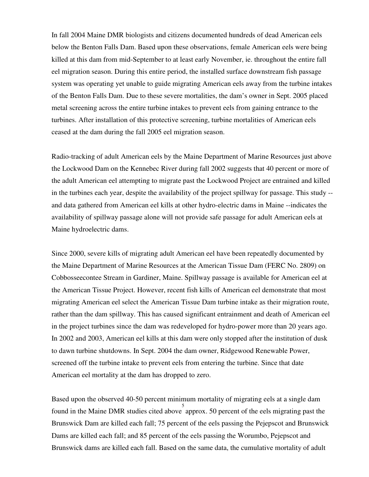In fall 2004 Maine DMR biologists and citizens documented hundreds of dead American eels below the Benton Falls Dam. Based upon these observations, female American eels were being killed at this dam from mid-September to at least early November, ie. throughout the entire fall eel migration season. During this entire period, the installed surface downstream fish passage system was operating yet unable to guide migrating American eels away from the turbine intakes of the Benton Falls Dam. Due to these severe mortalities, the dam's owner in Sept. 2005 placed metal screening across the entire turbine intakes to prevent eels from gaining entrance to the turbines. After installation of this protective screening, turbine mortalities of American eels ceased at the dam during the fall 2005 eel migration season.

Radio-tracking of adult American eels by the Maine Department of Marine Resources just above the Lockwood Dam on the Kennebec River during fall 2002 suggests that 40 percent or more of the adult American eel attempting to migrate past the Lockwood Project are entrained and killed in the turbines each year, despite the availability of the project spillway for passage. This study - and data gathered from American eel kills at other hydro-electric dams in Maine --indicates the availability of spillway passage alone will not provide safe passage for adult American eels at Maine hydroelectric dams.

Since 2000, severe kills of migrating adult American eel have been repeatedly documented by the Maine Department of Marine Resources at the American Tissue Dam (FERC No. 2809) on Cobbosseecontee Stream in Gardiner, Maine. Spillway passage is available for American eel at the American Tissue Project. However, recent fish kills of American eel demonstrate that most migrating American eel select the American Tissue Dam turbine intake as their migration route, rather than the dam spillway. This has caused significant entrainment and death of American eel in the project turbines since the dam was redeveloped for hydro-power more than 20 years ago. In 2002 and 2003, American eel kills at this dam were only stopped after the institution of dusk to dawn turbine shutdowns. In Sept. 2004 the dam owner, Ridgewood Renewable Power, screened off the turbine intake to prevent eels from entering the turbine. Since that date American eel mortality at the dam has dropped to zero.

Based upon the observed 40-50 percent minimum mortality of migrating eels at a single dam found in the Maine DMR studies cited above approx. 50 percent of the eels migrating past the Brunswick Dam are killed each fall; 75 percent of the eels passing the Pejepscot and Brunswick Dams are killed each fall; and 85 percent of the eels passing the Worumbo, Pejepscot and Brunswick dams are killed each fall. Based on the same data, the cumulative mortality of adult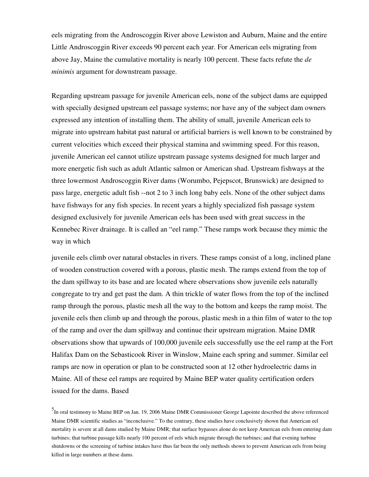eels migrating from the Androscoggin River above Lewiston and Auburn, Maine and the entire Little Androscoggin River exceeds 90 percent each year. For American eels migrating from above Jay, Maine the cumulative mortality is nearly 100 percent. These facts refute the *de minimis* argument for downstream passage.

Regarding upstream passage for juvenile American eels, none of the subject dams are equipped with specially designed upstream eel passage systems; nor have any of the subject dam owners expressed any intention of installing them. The ability of small, juvenile American eels to migrate into upstream habitat past natural or artificial barriers is well known to be constrained by current velocities which exceed their physical stamina and swimming speed. For this reason, juvenile American eel cannot utilize upstream passage systems designed for much larger and more energetic fish such as adult Atlantic salmon or American shad. Upstream fishways at the three lowermost Androscoggin River dams (Worumbo, Pejepscot, Brunswick) are designed to pass large, energetic adult fish --not 2 to 3 inch long baby eels. None of the other subject dams have fishways for any fish species. In recent years a highly specialized fish passage system designed exclusively for juvenile American eels has been used with great success in the Kennebec River drainage. It is called an "eel ramp." These ramps work because they mimic the way in which

juvenile eels climb over natural obstacles in rivers. These ramps consist of a long, inclined plane of wooden construction covered with a porous, plastic mesh. The ramps extend from the top of the dam spillway to its base and are located where observations show juvenile eels naturally congregate to try and get past the dam. A thin trickle of water flows from the top of the inclined ramp through the porous, plastic mesh all the way to the bottom and keeps the ramp moist. The juvenile eels then climb up and through the porous, plastic mesh in a thin film of water to the top of the ramp and over the dam spillway and continue their upstream migration. Maine DMR observations show that upwards of 100,000 juvenile eels successfully use the eel ramp at the Fort Halifax Dam on the Sebasticook River in Winslow, Maine each spring and summer. Similar eel ramps are now in operation or plan to be constructed soon at 12 other hydroelectric dams in Maine. All of these eel ramps are required by Maine BEP water quality certification orders issued for the dams. Based

5 In oral testimony to Maine BEP on Jan. 19, 2006 Maine DMR Commissioner George Lapointe described the above referenced Maine DMR scientific studies as "inconclusive." To the contrary, these studies have conclusively shown that American eel mortality is severe at all dams studied by Maine DMR; that surface bypasses alone do not keep American eels from entering dam turbines; that turbine passage kills nearly 100 percent of eels which migrate through the turbines; and that evening turbine shutdowns or the screening of turbine intakes have thus far been the only methods shown to prevent American eels from being killed in large numbers at these dams.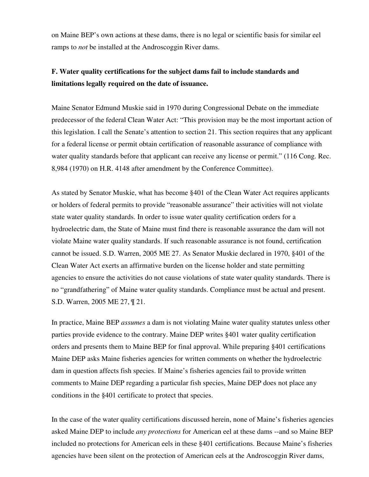on Maine BEP's own actions at these dams, there is no legal or scientific basis for similar eel ramps to *not* be installed at the Androscoggin River dams.

## **F. Water quality certifications for the subject dams fail to include standards and limitations legally required on the date of issuance.**

Maine Senator Edmund Muskie said in 1970 during Congressional Debate on the immediate predecessor of the federal Clean Water Act: "This provision may be the most important action of this legislation. I call the Senate's attention to section 21. This section requires that any applicant for a federal license or permit obtain certification of reasonable assurance of compliance with water quality standards before that applicant can receive any license or permit." (116 Cong. Rec. 8,984 (1970) on H.R. 4148 after amendment by the Conference Committee).

As stated by Senator Muskie, what has become §401 of the Clean Water Act requires applicants or holders of federal permits to provide "reasonable assurance" their activities will not violate state water quality standards. In order to issue water quality certification orders for a hydroelectric dam, the State of Maine must find there is reasonable assurance the dam will not violate Maine water quality standards. If such reasonable assurance is not found, certification cannot be issued. S.D. Warren, 2005 ME 27. As Senator Muskie declared in 1970, §401 of the Clean Water Act exerts an affirmative burden on the license holder and state permitting agencies to ensure the activities do not cause violations of state water quality standards. There is no "grandfathering" of Maine water quality standards. Compliance must be actual and present. S.D. Warren, 2005 ME 27, ¶ 21.

In practice, Maine BEP *assumes* a dam is not violating Maine water quality statutes unless other parties provide evidence to the contrary. Maine DEP writes §401 water quality certification orders and presents them to Maine BEP for final approval. While preparing §401 certifications Maine DEP asks Maine fisheries agencies for written comments on whether the hydroelectric dam in question affects fish species. If Maine's fisheries agencies fail to provide written comments to Maine DEP regarding a particular fish species, Maine DEP does not place any conditions in the §401 certificate to protect that species.

In the case of the water quality certifications discussed herein, none of Maine's fisheries agencies asked Maine DEP to include *any protections* for American eel at these dams --and so Maine BEP included no protections for American eels in these §401 certifications. Because Maine's fisheries agencies have been silent on the protection of American eels at the Androscoggin River dams,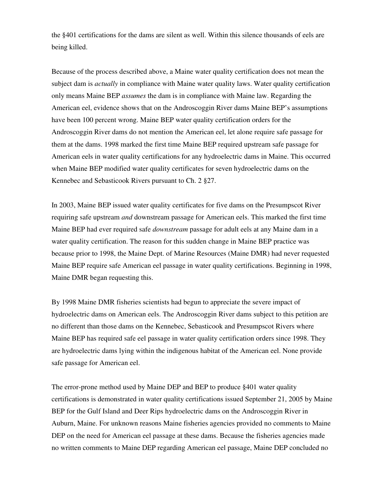the §401 certifications for the dams are silent as well. Within this silence thousands of eels are being killed.

Because of the process described above, a Maine water quality certification does not mean the subject dam is *actually* in compliance with Maine water quality laws. Water quality certification only means Maine BEP *assumes* the dam is in compliance with Maine law. Regarding the American eel, evidence shows that on the Androscoggin River dams Maine BEP's assumptions have been 100 percent wrong. Maine BEP water quality certification orders for the Androscoggin River dams do not mention the American eel, let alone require safe passage for them at the dams. 1998 marked the first time Maine BEP required upstream safe passage for American eels in water quality certifications for any hydroelectric dams in Maine. This occurred when Maine BEP modified water quality certificates for seven hydroelectric dams on the Kennebec and Sebasticook Rivers pursuant to Ch. 2 §27.

In 2003, Maine BEP issued water quality certificates for five dams on the Presumpscot River requiring safe upstream *and* downstream passage for American eels. This marked the first time Maine BEP had ever required safe *downstream* passage for adult eels at any Maine dam in a water quality certification. The reason for this sudden change in Maine BEP practice was because prior to 1998, the Maine Dept. of Marine Resources (Maine DMR) had never requested Maine BEP require safe American eel passage in water quality certifications. Beginning in 1998, Maine DMR began requesting this.

By 1998 Maine DMR fisheries scientists had begun to appreciate the severe impact of hydroelectric dams on American eels. The Androscoggin River dams subject to this petition are no different than those dams on the Kennebec, Sebasticook and Presumpscot Rivers where Maine BEP has required safe eel passage in water quality certification orders since 1998. They are hydroelectric dams lying within the indigenous habitat of the American eel. None provide safe passage for American eel.

The error-prone method used by Maine DEP and BEP to produce §401 water quality certifications is demonstrated in water quality certifications issued September 21, 2005 by Maine BEP for the Gulf Island and Deer Rips hydroelectric dams on the Androscoggin River in Auburn, Maine. For unknown reasons Maine fisheries agencies provided no comments to Maine DEP on the need for American eel passage at these dams. Because the fisheries agencies made no written comments to Maine DEP regarding American eel passage, Maine DEP concluded no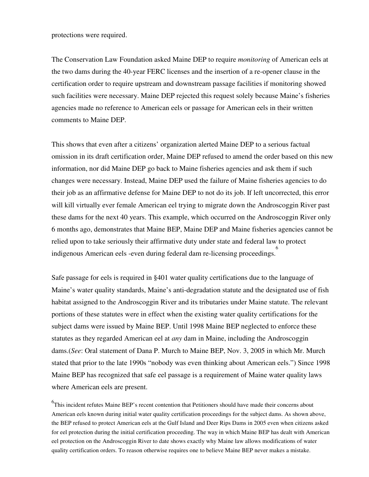#### protections were required.

The Conservation Law Foundation asked Maine DEP to require *monitoring* of American eels at the two dams during the 40-year FERC licenses and the insertion of a re-opener clause in the certification order to require upstream and downstream passage facilities if monitoring showed such facilities were necessary. Maine DEP rejected this request solely because Maine's fisheries agencies made no reference to American eels or passage for American eels in their written comments to Maine DEP.

This shows that even after a citizens' organization alerted Maine DEP to a serious factual omission in its draft certification order, Maine DEP refused to amend the order based on this new information, nor did Maine DEP go back to Maine fisheries agencies and ask them if such changes were necessary. Instead, Maine DEP used the failure of Maine fisheries agencies to do their job as an affirmative defense for Maine DEP to not do its job. If left uncorrected, this error will kill virtually ever female American eel trying to migrate down the Androscoggin River past these dams for the next 40 years. This example, which occurred on the Androscoggin River only 6 months ago, demonstrates that Maine BEP, Maine DEP and Maine fisheries agencies cannot be relied upon to take seriously their affirmative duty under state and federal law to protect indigenous American eels -even during federal dam re-licensing proceedings. 6

Safe passage for eels is required in §401 water quality certifications due to the language of Maine's water quality standards, Maine's anti-degradation statute and the designated use of fish habitat assigned to the Androscoggin River and its tributaries under Maine statute. The relevant portions of these statutes were in effect when the existing water quality certifications for the subject dams were issued by Maine BEP. Until 1998 Maine BEP neglected to enforce these statutes as they regarded American eel at *any* dam in Maine, including the Androscoggin dams.(*See*: Oral statement of Dana P. Murch to Maine BEP, Nov. 3, 2005 in which Mr. Murch stated that prior to the late 1990s "nobody was even thinking about American eels.") Since 1998 Maine BEP has recognized that safe eel passage is a requirement of Maine water quality laws where American eels are present.

<sup>6</sup>This incident refutes Maine BEP's recent contention that Petitioners should have made their concerns about American eels known during initial water quality certification proceedings for the subject dams. As shown above, the BEP refused to protect American eels at the Gulf Island and Deer Rips Dams in 2005 even when citizens asked for eel protection during the initial certification proceeding. The way in which Maine BEP has dealt with American eel protection on the Androscoggin River to date shows exactly why Maine law allows modifications of water quality certification orders. To reason otherwise requires one to believe Maine BEP never makes a mistake.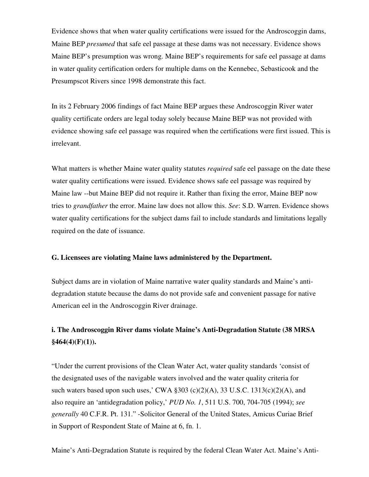Evidence shows that when water quality certifications were issued for the Androscoggin dams, Maine BEP *presumed* that safe eel passage at these dams was not necessary. Evidence shows Maine BEP's presumption was wrong. Maine BEP's requirements for safe eel passage at dams in water quality certification orders for multiple dams on the Kennebec, Sebasticook and the Presumpscot Rivers since 1998 demonstrate this fact.

In its 2 February 2006 findings of fact Maine BEP argues these Androscoggin River water quality certificate orders are legal today solely because Maine BEP was not provided with evidence showing safe eel passage was required when the certifications were first issued. This is irrelevant.

What matters is whether Maine water quality statutes *required* safe eel passage on the date these water quality certifications were issued. Evidence shows safe eel passage was required by Maine law --but Maine BEP did not require it. Rather than fixing the error, Maine BEP now tries to *grandfather* the error. Maine law does not allow this. *See*: S.D. Warren. Evidence shows water quality certifications for the subject dams fail to include standards and limitations legally required on the date of issuance.

#### **G. Licensees are violating Maine laws administered by the Department.**

Subject dams are in violation of Maine narrative water quality standards and Maine's antidegradation statute because the dams do not provide safe and convenient passage for native American eel in the Androscoggin River drainage.

## **i. The Androscoggin River dams violate Maine's Anti-Degradation Statute (38 MRSA §464(4)(F)(1)).**

"Under the current provisions of the Clean Water Act, water quality standards 'consist of the designated uses of the navigable waters involved and the water quality criteria for such waters based upon such uses,' CWA  $\S 303$  (c)(2)(A), 33 U.S.C. 1313(c)(2)(A), and also require an 'antidegradation policy,' *PUD No. 1*, 511 U.S. 700, 704-705 (1994); *see generally* 40 C.F.R. Pt. 131." -Solicitor General of the United States, Amicus Curiae Brief in Support of Respondent State of Maine at 6, fn. 1.

Maine's Anti-Degradation Statute is required by the federal Clean Water Act. Maine's Anti-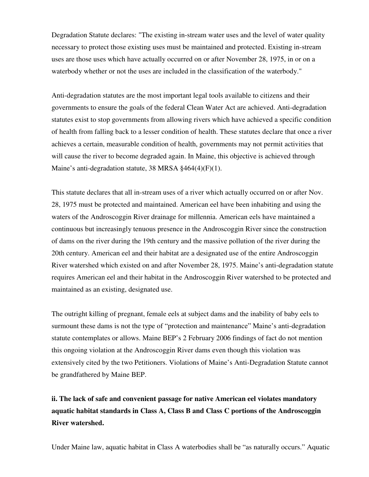Degradation Statute declares: "The existing in-stream water uses and the level of water quality necessary to protect those existing uses must be maintained and protected. Existing in-stream uses are those uses which have actually occurred on or after November 28, 1975, in or on a waterbody whether or not the uses are included in the classification of the waterbody."

Anti-degradation statutes are the most important legal tools available to citizens and their governments to ensure the goals of the federal Clean Water Act are achieved. Anti-degradation statutes exist to stop governments from allowing rivers which have achieved a specific condition of health from falling back to a lesser condition of health. These statutes declare that once a river achieves a certain, measurable condition of health, governments may not permit activities that will cause the river to become degraded again. In Maine, this objective is achieved through Maine's anti-degradation statute, 38 MRSA §464(4)(F)(1).

This statute declares that all in-stream uses of a river which actually occurred on or after Nov. 28, 1975 must be protected and maintained. American eel have been inhabiting and using the waters of the Androscoggin River drainage for millennia. American eels have maintained a continuous but increasingly tenuous presence in the Androscoggin River since the construction of dams on the river during the 19th century and the massive pollution of the river during the 20th century. American eel and their habitat are a designated use of the entire Androscoggin River watershed which existed on and after November 28, 1975. Maine's anti-degradation statute requires American eel and their habitat in the Androscoggin River watershed to be protected and maintained as an existing, designated use.

The outright killing of pregnant, female eels at subject dams and the inability of baby eels to surmount these dams is not the type of "protection and maintenance" Maine's anti-degradation statute contemplates or allows. Maine BEP's 2 February 2006 findings of fact do not mention this ongoing violation at the Androscoggin River dams even though this violation was extensively cited by the two Petitioners. Violations of Maine's Anti-Degradation Statute cannot be grandfathered by Maine BEP.

# **ii. The lack of safe and convenient passage for native American eel violates mandatory aquatic habitat standards in Class A, Class B and Class C portions of the Androscoggin River watershed.**

Under Maine law, aquatic habitat in Class A waterbodies shall be "as naturally occurs." Aquatic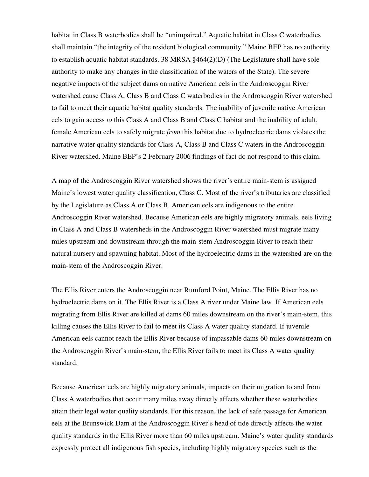habitat in Class B waterbodies shall be "unimpaired." Aquatic habitat in Class C waterbodies shall maintain "the integrity of the resident biological community." Maine BEP has no authority to establish aquatic habitat standards. 38 MRSA §464(2)(D) (The Legislature shall have sole authority to make any changes in the classification of the waters of the State). The severe negative impacts of the subject dams on native American eels in the Androscoggin River watershed cause Class A, Class B and Class C waterbodies in the Androscoggin River watershed to fail to meet their aquatic habitat quality standards. The inability of juvenile native American eels to gain access *to* this Class A and Class B and Class C habitat and the inability of adult, female American eels to safely migrate *from* this habitat due to hydroelectric dams violates the narrative water quality standards for Class A, Class B and Class C waters in the Androscoggin River watershed. Maine BEP's 2 February 2006 findings of fact do not respond to this claim.

A map of the Androscoggin River watershed shows the river's entire main-stem is assigned Maine's lowest water quality classification, Class C. Most of the river's tributaries are classified by the Legislature as Class A or Class B. American eels are indigenous to the entire Androscoggin River watershed. Because American eels are highly migratory animals, eels living in Class A and Class B watersheds in the Androscoggin River watershed must migrate many miles upstream and downstream through the main-stem Androscoggin River to reach their natural nursery and spawning habitat. Most of the hydroelectric dams in the watershed are on the main-stem of the Androscoggin River.

The Ellis River enters the Androscoggin near Rumford Point, Maine. The Ellis River has no hydroelectric dams on it. The Ellis River is a Class A river under Maine law. If American eels migrating from Ellis River are killed at dams 60 miles downstream on the river's main-stem, this killing causes the Ellis River to fail to meet its Class A water quality standard. If juvenile American eels cannot reach the Ellis River because of impassable dams 60 miles downstream on the Androscoggin River's main-stem, the Ellis River fails to meet its Class A water quality standard.

Because American eels are highly migratory animals, impacts on their migration to and from Class A waterbodies that occur many miles away directly affects whether these waterbodies attain their legal water quality standards. For this reason, the lack of safe passage for American eels at the Brunswick Dam at the Androscoggin River's head of tide directly affects the water quality standards in the Ellis River more than 60 miles upstream. Maine's water quality standards expressly protect all indigenous fish species, including highly migratory species such as the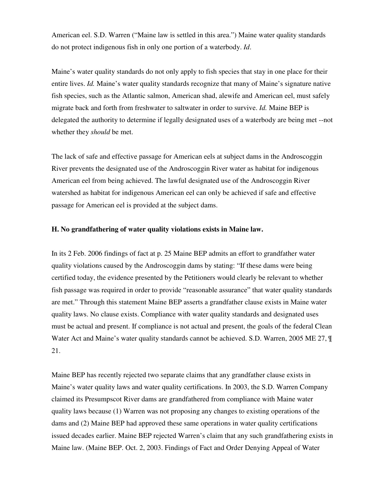American eel. S.D. Warren ("Maine law is settled in this area.") Maine water quality standards do not protect indigenous fish in only one portion of a waterbody. *Id*.

Maine's water quality standards do not only apply to fish species that stay in one place for their entire lives. *Id.* Maine's water quality standards recognize that many of Maine's signature native fish species, such as the Atlantic salmon, American shad, alewife and American eel, must safely migrate back and forth from freshwater to saltwater in order to survive. *Id.* Maine BEP is delegated the authority to determine if legally designated uses of a waterbody are being met --not whether they *should* be met.

The lack of safe and effective passage for American eels at subject dams in the Androscoggin River prevents the designated use of the Androscoggin River water as habitat for indigenous American eel from being achieved. The lawful designated use of the Androscoggin River watershed as habitat for indigenous American eel can only be achieved if safe and effective passage for American eel is provided at the subject dams.

### **H. No grandfathering of water quality violations exists in Maine law.**

In its 2 Feb. 2006 findings of fact at p. 25 Maine BEP admits an effort to grandfather water quality violations caused by the Androscoggin dams by stating: "If these dams were being certified today, the evidence presented by the Petitioners would clearly be relevant to whether fish passage was required in order to provide "reasonable assurance" that water quality standards are met." Through this statement Maine BEP asserts a grandfather clause exists in Maine water quality laws. No clause exists. Compliance with water quality standards and designated uses must be actual and present. If compliance is not actual and present, the goals of the federal Clean Water Act and Maine's water quality standards cannot be achieved. S.D. Warren, 2005 ME 27, ¶ 21.

Maine BEP has recently rejected two separate claims that any grandfather clause exists in Maine's water quality laws and water quality certifications. In 2003, the S.D. Warren Company claimed its Presumpscot River dams are grandfathered from compliance with Maine water quality laws because (1) Warren was not proposing any changes to existing operations of the dams and (2) Maine BEP had approved these same operations in water quality certifications issued decades earlier. Maine BEP rejected Warren's claim that any such grandfathering exists in Maine law. (Maine BEP. Oct. 2, 2003. Findings of Fact and Order Denying Appeal of Water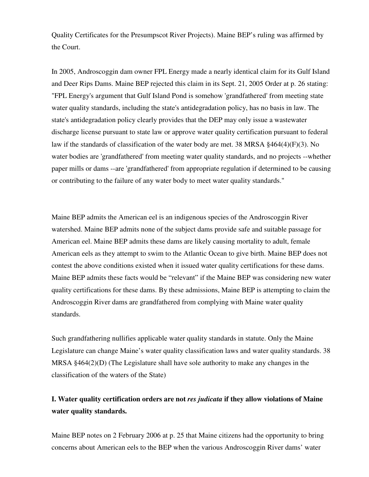Quality Certificates for the Presumpscot River Projects). Maine BEP's ruling was affirmed by the Court.

In 2005, Androscoggin dam owner FPL Energy made a nearly identical claim for its Gulf Island and Deer Rips Dams. Maine BEP rejected this claim in its Sept. 21, 2005 Order at p. 26 stating: "FPL Energy's argument that Gulf Island Pond is somehow 'grandfathered' from meeting state water quality standards, including the state's antidegradation policy, has no basis in law. The state's antidegradation policy clearly provides that the DEP may only issue a wastewater discharge license pursuant to state law or approve water quality certification pursuant to federal law if the standards of classification of the water body are met. 38 MRSA §464(4)(F)(3). No water bodies are 'grandfathered' from meeting water quality standards, and no projects --whether paper mills or dams --are 'grandfathered' from appropriate regulation if determined to be causing or contributing to the failure of any water body to meet water quality standards."

Maine BEP admits the American eel is an indigenous species of the Androscoggin River watershed. Maine BEP admits none of the subject dams provide safe and suitable passage for American eel. Maine BEP admits these dams are likely causing mortality to adult, female American eels as they attempt to swim to the Atlantic Ocean to give birth. Maine BEP does not contest the above conditions existed when it issued water quality certifications for these dams. Maine BEP admits these facts would be "relevant" if the Maine BEP was considering new water quality certifications for these dams. By these admissions, Maine BEP is attempting to claim the Androscoggin River dams are grandfathered from complying with Maine water quality standards.

Such grandfathering nullifies applicable water quality standards in statute. Only the Maine Legislature can change Maine's water quality classification laws and water quality standards. 38 MRSA §464(2)(D) (The Legislature shall have sole authority to make any changes in the classification of the waters of the State)

## **I. Water quality certification orders are not** *res judicata* **if they allow violations of Maine water quality standards.**

Maine BEP notes on 2 February 2006 at p. 25 that Maine citizens had the opportunity to bring concerns about American eels to the BEP when the various Androscoggin River dams' water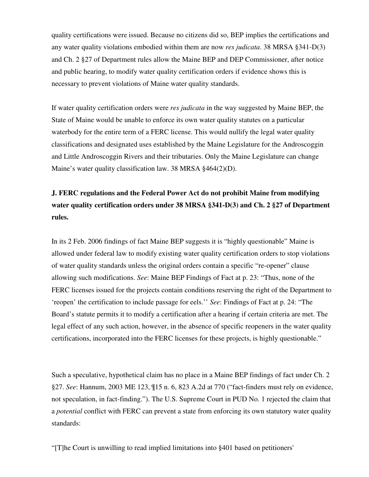quality certifications were issued. Because no citizens did so, BEP implies the certifications and any water quality violations embodied within them are now *res judicata*. 38 MRSA §341-D(3) and Ch. 2 §27 of Department rules allow the Maine BEP and DEP Commissioner, after notice and public hearing, to modify water quality certification orders if evidence shows this is necessary to prevent violations of Maine water quality standards.

If water quality certification orders were *res judicata* in the way suggested by Maine BEP, the State of Maine would be unable to enforce its own water quality statutes on a particular waterbody for the entire term of a FERC license. This would nullify the legal water quality classifications and designated uses established by the Maine Legislature for the Androscoggin and Little Androscoggin Rivers and their tributaries. Only the Maine Legislature can change Maine's water quality classification law. 38 MRSA §464(2)(D).

# **J. FERC regulations and the Federal Power Act do not prohibit Maine from modifying water quality certification orders under 38 MRSA §341-D(3) and Ch. 2 §27 of Department rules.**

In its 2 Feb. 2006 findings of fact Maine BEP suggests it is "highly questionable" Maine is allowed under federal law to modify existing water quality certification orders to stop violations of water quality standards unless the original orders contain a specific "re-opener" clause allowing such modifications. *See*: Maine BEP Findings of Fact at p. 23: "Thus, none of the FERC licenses issued for the projects contain conditions reserving the right of the Department to 'reopen' the certification to include passage for eels.'' *See*: Findings of Fact at p. 24: "The Board's statute permits it to modify a certification after a hearing if certain criteria are met. The legal effect of any such action, however, in the absence of specific reopeners in the water quality certifications, incorporated into the FERC licenses for these projects, is highly questionable."

Such a speculative, hypothetical claim has no place in a Maine BEP findings of fact under Ch. 2 §27. *See*: Hannum, 2003 ME 123, ¶15 n. 6, 823 A.2d at 770 ("fact-finders must rely on evidence, not speculation, in fact-finding."). The U.S. Supreme Court in PUD No. 1 rejected the claim that a *potential* conflict with FERC can prevent a state from enforcing its own statutory water quality standards:

"[T]he Court is unwilling to read implied limitations into §401 based on petitioners'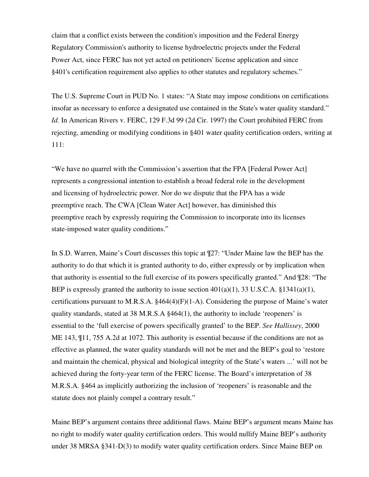claim that a conflict exists between the condition's imposition and the Federal Energy Regulatory Commission's authority to license hydroelectric projects under the Federal Power Act, since FERC has not yet acted on petitioners' license application and since §401's certification requirement also applies to other statutes and regulatory schemes."

The U.S. Supreme Court in PUD No. 1 states: "A State may impose conditions on certifications insofar as necessary to enforce a designated use contained in the State's water quality standard." *Id.* In American Rivers v. FERC, 129 F.3d 99 (2d Cir. 1997) the Court prohibited FERC from rejecting, amending or modifying conditions in §401 water quality certification orders, writing at 111:

"We have no quarrel with the Commission's assertion that the FPA [Federal Power Act] represents a congressional intention to establish a broad federal role in the development and licensing of hydroelectric power. Nor do we dispute that the FPA has a wide preemptive reach. The CWA [Clean Water Act] however, has diminished this preemptive reach by expressly requiring the Commission to incorporate into its licenses state-imposed water quality conditions."

In S.D. Warren, Maine's Court discusses this topic at ¶27: "Under Maine law the BEP has the authority to do that which it is granted authority to do, either expressly or by implication when that authority is essential to the full exercise of its powers specifically granted." And ¶28: "The BEP is expressly granted the authority to issue section  $401(a)(1)$ , 33 U.S.C.A. §1341(a)(1), certifications pursuant to M.R.S.A. §464(4)(F)(1-A). Considering the purpose of Maine's water quality standards, stated at 38 M.R.S.A §464(1), the authority to include 'reopeners' is essential to the 'full exercise of powers specifically granted' to the BEP. *See Hallissey*, 2000 ME 143, ¶11, 755 A.2d at 1072. This authority is essential because if the conditions are not as effective as planned, the water quality standards will not be met and the BEP's goal to 'restore and maintain the chemical, physical and biological integrity of the State's waters ...' will not be achieved during the forty-year term of the FERC license. The Board's interpretation of 38 M.R.S.A. §464 as implicitly authorizing the inclusion of 'reopeners' is reasonable and the statute does not plainly compel a contrary result."

Maine BEP's argument contains three additional flaws. Maine BEP's argument means Maine has no right to modify water quality certification orders. This would nullify Maine BEP's authority under 38 MRSA §341-D(3) to modify water quality certification orders. Since Maine BEP on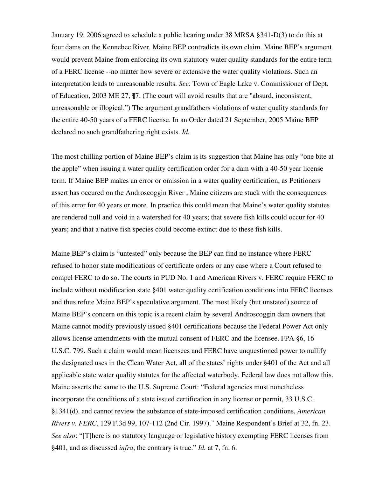January 19, 2006 agreed to schedule a public hearing under 38 MRSA §341-D(3) to do this at four dams on the Kennebec River, Maine BEP contradicts its own claim. Maine BEP's argument would prevent Maine from enforcing its own statutory water quality standards for the entire term of a FERC license --no matter how severe or extensive the water quality violations. Such an interpretation leads to unreasonable results. *See*: Town of Eagle Lake v. Commissioner of Dept. of Education, 2003 ME 27, ¶7. (The court will avoid results that are "absurd, inconsistent, unreasonable or illogical.") The argument grandfathers violations of water quality standards for the entire 40-50 years of a FERC license. In an Order dated 21 September, 2005 Maine BEP declared no such grandfathering right exists. *Id.* 

The most chilling portion of Maine BEP's claim is its suggestion that Maine has only "one bite at the apple" when issuing a water quality certification order for a dam with a 40-50 year license term. If Maine BEP makes an error or omission in a water quality certification, as Petitioners assert has occured on the Androscoggin River , Maine citizens are stuck with the consequences of this error for 40 years or more. In practice this could mean that Maine's water quality statutes are rendered null and void in a watershed for 40 years; that severe fish kills could occur for 40 years; and that a native fish species could become extinct due to these fish kills.

Maine BEP's claim is "untested" only because the BEP can find no instance where FERC refused to honor state modifications of certificate orders or any case where a Court refused to compel FERC to do so. The courts in PUD No. 1 and American Rivers v. FERC require FERC to include without modification state §401 water quality certification conditions into FERC licenses and thus refute Maine BEP's speculative argument. The most likely (but unstated) source of Maine BEP's concern on this topic is a recent claim by several Androscoggin dam owners that Maine cannot modify previously issued §401 certifications because the Federal Power Act only allows license amendments with the mutual consent of FERC and the licensee. FPA §6, 16 U.S.C. 799. Such a claim would mean licensees and FERC have unquestioned power to nullify the designated uses in the Clean Water Act, all of the states' rights under §401 of the Act and all applicable state water quality statutes for the affected waterbody. Federal law does not allow this. Maine asserts the same to the U.S. Supreme Court: "Federal agencies must nonetheless incorporate the conditions of a state issued certification in any license or permit, 33 U.S.C. §1341(d), and cannot review the substance of state-imposed certification conditions, *American Rivers v. FERC*, 129 F.3d 99, 107-112 (2nd Cir. 1997)." Maine Respondent's Brief at 32, fn. 23. *See also*: "[T]here is no statutory language or legislative history exempting FERC licenses from §401, and as discussed *infra*, the contrary is true." *Id.* at 7, fn. 6.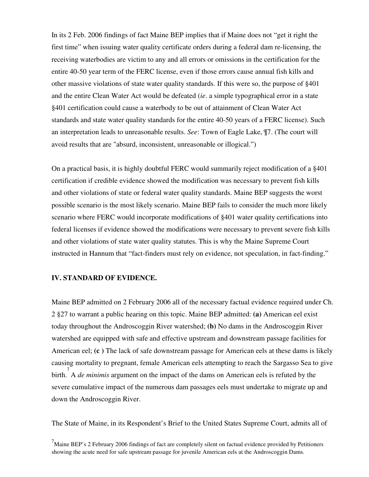In its 2 Feb. 2006 findings of fact Maine BEP implies that if Maine does not "get it right the first time" when issuing water quality certificate orders during a federal dam re-licensing, the receiving waterbodies are victim to any and all errors or omissions in the certification for the entire 40-50 year term of the FERC license, even if those errors cause annual fish kills and other massive violations of state water quality standards. If this were so, the purpose of §401 and the entire Clean Water Act would be defeated (*ie*. a simple typographical error in a state §401 certification could cause a waterbody to be out of attainment of Clean Water Act standards and state water quality standards for the entire 40-50 years of a FERC license). Such an interpretation leads to unreasonable results. *See*: Town of Eagle Lake, ¶7. (The court will avoid results that are "absurd, inconsistent, unreasonable or illogical.")

On a practical basis, it is highly doubtful FERC would summarily reject modification of a §401 certification if credible evidence showed the modification was necessary to prevent fish kills and other violations of state or federal water quality standards. Maine BEP suggests the worst possible scenario is the most likely scenario. Maine BEP fails to consider the much more likely scenario where FERC would incorporate modifications of §401 water quality certifications into federal licenses if evidence showed the modifications were necessary to prevent severe fish kills and other violations of state water quality statutes. This is why the Maine Supreme Court instructed in Hannum that "fact-finders must rely on evidence, not speculation, in fact-finding."

## **IV. STANDARD OF EVIDENCE.**

Maine BEP admitted on 2 February 2006 all of the necessary factual evidence required under Ch. 2 §27 to warrant a public hearing on this topic. Maine BEP admitted: **(a)** American eel exist today throughout the Androscoggin River watershed; **(b)** No dams in the Androscoggin River watershed are equipped with safe and effective upstream and downstream passage facilities for American eel; **(c )** The lack of safe downstream passage for American eels at these dams is likely causing mortality to pregnant, female American eels attempting to reach the Sargasso Sea to give birth. 7 A *de minimis* argument on the impact of the dams on American eels is refuted by the severe cumulative impact of the numerous dam passages eels must undertake to migrate up and down the Androscoggin River.

The State of Maine, in its Respondent's Brief to the United States Supreme Court, admits all of

 $^{7}$ Maine BEP's 2 February 2006 findings of fact are completely silent on factual evidence provided by Petitioners showing the acute need for safe upstream passage for juvenile American eels at the Androscoggin Dams.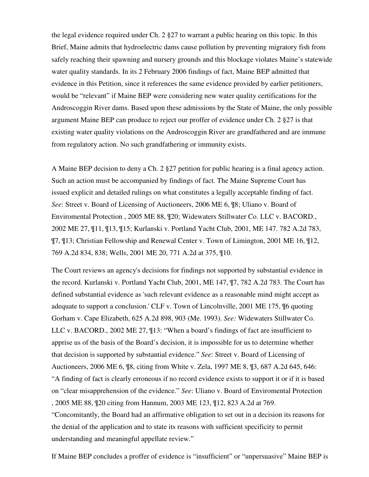the legal evidence required under Ch. 2 §27 to warrant a public hearing on this topic. In this Brief, Maine admits that hydroelectric dams cause pollution by preventing migratory fish from safely reaching their spawning and nursery grounds and this blockage violates Maine's statewide water quality standards. In its 2 February 2006 findings of fact, Maine BEP admitted that evidence in this Petition, since it references the same evidence provided by earlier petitioners, would be "relevant" if Maine BEP were considering new water quality certifications for the Androscoggin River dams. Based upon these admissions by the State of Maine, the only possible argument Maine BEP can produce to reject our proffer of evidence under Ch. 2 §27 is that existing water quality violations on the Androscoggin River are grandfathered and are immune from regulatory action. No such grandfathering or immunity exists.

A Maine BEP decision to deny a Ch. 2 §27 petition for public hearing is a final agency action. Such an action must be accompanied by findings of fact. The Maine Supreme Court has issued explicit and detailed rulings on what constitutes a legally acceptable finding of fact. *See*: Street v. Board of Licensing of Auctioneers, 2006 ME 6, ¶8; Uliano v. Board of Enviromental Protection , 2005 ME 88, ¶20; Widewaters Stillwater Co. LLC v. BACORD., 2002 ME 27, ¶11, ¶13, ¶15; Kurlanski v. Portland Yacht Club, 2001, ME 147. 782 A.2d 783, ¶7, ¶13; Christian Fellowship and Renewal Center v. Town of Limington, 2001 ME 16, ¶12, 769 A.2d 834, 838; Wells, 2001 ME 20, 771 A.2d at 375, ¶10.

The Court reviews an agency's decisions for findings not supported by substantial evidence in the record. Kurlanski v. Portland Yacht Club, 2001, ME 147, ¶7, 782 A.2d 783. The Court has defined substantial evidence as 'such relevant evidence as a reasonable mind might accept as adequate to support a conclusion.' CLF v. Town of Lincolnville, 2001 ME 175, ¶6 quoting Gorham v. Cape Elizabeth, 625 A.2d 898, 903 (Me. 1993). *See:* Widewaters Stillwater Co. LLC v. BACORD., 2002 ME 27, ¶13: "When a board's findings of fact are insufficient to apprise us of the basis of the Board's decision, it is impossible for us to determine whether that decision is supported by substantial evidence." *See*: Street v. Board of Licensing of Auctioneers, 2006 ME 6, ¶8, citing from White v. Zela, 1997 ME 8, ¶3, 687 A.2d 645, 646: "A finding of fact is clearly erroneous if no record evidence exists to support it or if it is based on "clear misapprehension of the evidence." *See*: Uliano v. Board of Enviromental Protection , 2005 ME 88, ¶20 citing from Hannum, 2003 ME 123, ¶12, 823 A.2d at 769. "Concomitantly, the Board had an affirmative obligation to set out in a decision its reasons for

the denial of the application and to state its reasons with sufficient specificity to permit understanding and meaningful appellate review."

If Maine BEP concludes a proffer of evidence is "insufficient" or "unpersuasive" Maine BEP is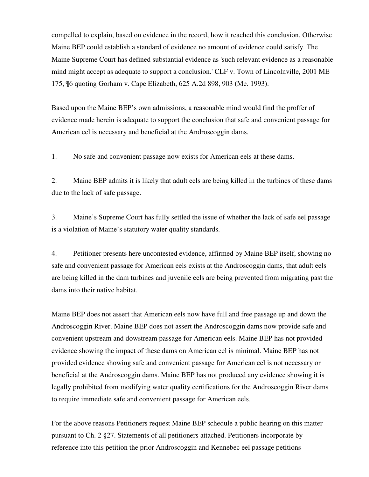compelled to explain, based on evidence in the record, how it reached this conclusion. Otherwise Maine BEP could establish a standard of evidence no amount of evidence could satisfy. The Maine Supreme Court has defined substantial evidence as 'such relevant evidence as a reasonable mind might accept as adequate to support a conclusion.' CLF v. Town of Lincolnville, 2001 ME 175, ¶6 quoting Gorham v. Cape Elizabeth, 625 A.2d 898, 903 (Me. 1993).

Based upon the Maine BEP's own admissions, a reasonable mind would find the proffer of evidence made herein is adequate to support the conclusion that safe and convenient passage for American eel is necessary and beneficial at the Androscoggin dams.

1. No safe and convenient passage now exists for American eels at these dams.

2. Maine BEP admits it is likely that adult eels are being killed in the turbines of these dams due to the lack of safe passage.

3. Maine's Supreme Court has fully settled the issue of whether the lack of safe eel passage is a violation of Maine's statutory water quality standards.

4. Petitioner presents here uncontested evidence, affirmed by Maine BEP itself, showing no safe and convenient passage for American eels exists at the Androscoggin dams, that adult eels are being killed in the dam turbines and juvenile eels are being prevented from migrating past the dams into their native habitat.

Maine BEP does not assert that American eels now have full and free passage up and down the Androscoggin River. Maine BEP does not assert the Androscoggin dams now provide safe and convenient upstream and dowstream passage for American eels. Maine BEP has not provided evidence showing the impact of these dams on American eel is minimal. Maine BEP has not provided evidence showing safe and convenient passage for American eel is not necessary or beneficial at the Androscoggin dams. Maine BEP has not produced any evidence showing it is legally prohibited from modifying water quality certifications for the Androscoggin River dams to require immediate safe and convenient passage for American eels.

For the above reasons Petitioners request Maine BEP schedule a public hearing on this matter pursuant to Ch. 2 §27. Statements of all petitioners attached. Petitioners incorporate by reference into this petition the prior Androscoggin and Kennebec eel passage petitions